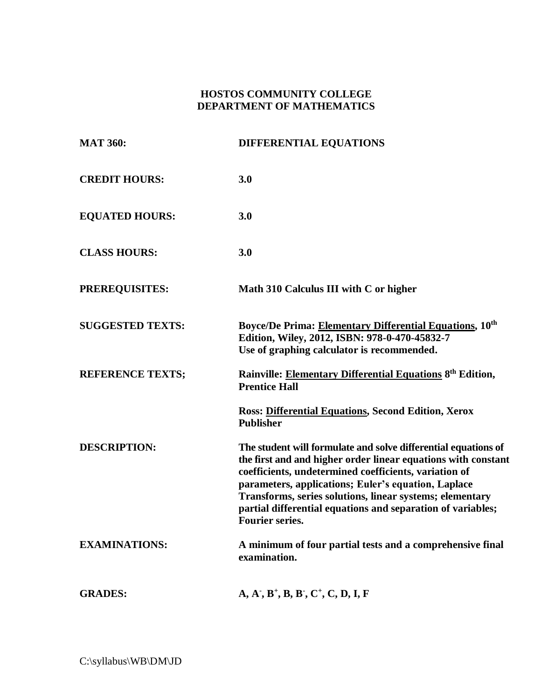## **HOSTOS COMMUNITY COLLEGE DEPARTMENT OF MATHEMATICS**

| <b>MAT 360:</b>         | <b>DIFFERENTIAL EQUATIONS</b>                                                                                                                                                                                                                                                                                                                                                                        |
|-------------------------|------------------------------------------------------------------------------------------------------------------------------------------------------------------------------------------------------------------------------------------------------------------------------------------------------------------------------------------------------------------------------------------------------|
| <b>CREDIT HOURS:</b>    | 3.0                                                                                                                                                                                                                                                                                                                                                                                                  |
| <b>EQUATED HOURS:</b>   | 3.0                                                                                                                                                                                                                                                                                                                                                                                                  |
| <b>CLASS HOURS:</b>     | 3.0                                                                                                                                                                                                                                                                                                                                                                                                  |
| <b>PREREQUISITES:</b>   | Math 310 Calculus III with C or higher                                                                                                                                                                                                                                                                                                                                                               |
| <b>SUGGESTED TEXTS:</b> | Boyce/De Prima: Elementary Differential Equations, 10 <sup>th</sup><br>Edition, Wiley, 2012, ISBN: 978-0-470-45832-7<br>Use of graphing calculator is recommended.                                                                                                                                                                                                                                   |
| <b>REFERENCE TEXTS;</b> | Rainville: Elementary Differential Equations 8 <sup>th</sup> Edition,<br><b>Prentice Hall</b>                                                                                                                                                                                                                                                                                                        |
|                         | <b>Ross: Differential Equations, Second Edition, Xerox</b><br><b>Publisher</b>                                                                                                                                                                                                                                                                                                                       |
| <b>DESCRIPTION:</b>     | The student will formulate and solve differential equations of<br>the first and and higher order linear equations with constant<br>coefficients, undetermined coefficients, variation of<br>parameters, applications; Euler's equation, Laplace<br>Transforms, series solutions, linear systems; elementary<br>partial differential equations and separation of variables;<br><b>Fourier series.</b> |
| <b>EXAMINATIONS:</b>    | A minimum of four partial tests and a comprehensive final<br>examination.                                                                                                                                                                                                                                                                                                                            |
| <b>GRADES:</b>          | $A, A', B^+, B, B', C^+, C, D, I, F$                                                                                                                                                                                                                                                                                                                                                                 |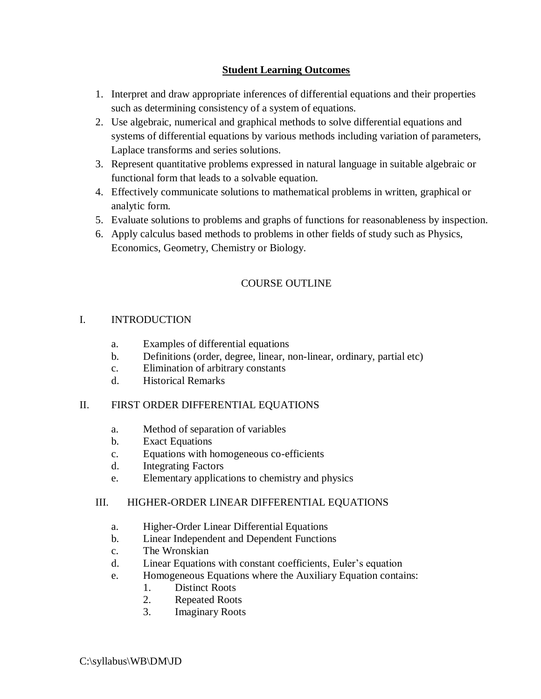# **Student Learning Outcomes**

- 1. Interpret and draw appropriate inferences of differential equations and their properties such as determining consistency of a system of equations.
- 2. Use algebraic, numerical and graphical methods to solve differential equations and systems of differential equations by various methods including variation of parameters, Laplace transforms and series solutions.
- 3. Represent quantitative problems expressed in natural language in suitable algebraic or functional form that leads to a solvable equation.
- 4. Effectively communicate solutions to mathematical problems in written, graphical or analytic form.
- 5. Evaluate solutions to problems and graphs of functions for reasonableness by inspection.
- 6. Apply calculus based methods to problems in other fields of study such as Physics, Economics, Geometry, Chemistry or Biology.

# COURSE OUTLINE

### I. INTRODUCTION

- a. Examples of differential equations
- b. Definitions (order, degree, linear, non-linear, ordinary, partial etc)
- c. Elimination of arbitrary constants
- d. Historical Remarks

#### II. FIRST ORDER DIFFERENTIAL EQUATIONS

- a. Method of separation of variables
- b. Exact Equations
- c. Equations with homogeneous co-efficients
- d. Integrating Factors
- e. Elementary applications to chemistry and physics

### III. HIGHER-ORDER LINEAR DIFFERENTIAL EQUATIONS

- a. Higher-Order Linear Differential Equations
- b. Linear Independent and Dependent Functions
- c. The Wronskian
- d. Linear Equations with constant coefficients, Euler's equation
- e. Homogeneous Equations where the Auxiliary Equation contains:
	- 1. Distinct Roots
	- 2. Repeated Roots
	- 3. Imaginary Roots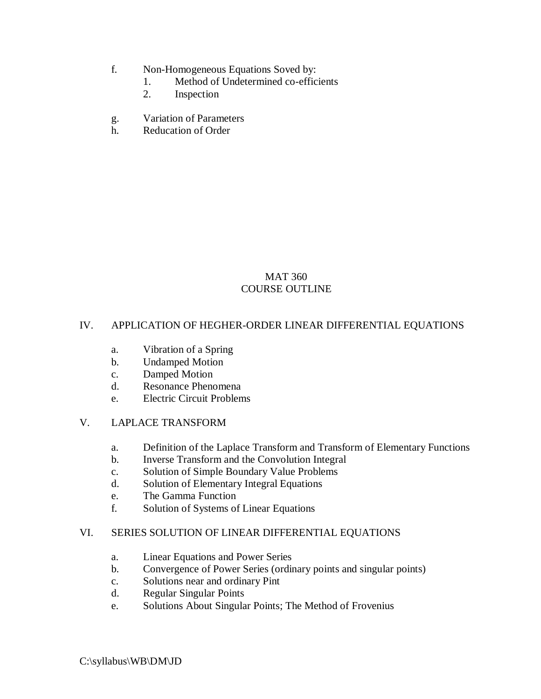- f. Non-Homogeneous Equations Soved by:
	- 1. Method of Undetermined co-efficients
	- 2. Inspection
- g. Variation of Parameters
- h. Reducation of Order

# MAT 360 COURSE OUTLINE

# IV. APPLICATION OF HEGHER-ORDER LINEAR DIFFERENTIAL EQUATIONS

- a. Vibration of a Spring
- b. Undamped Motion
- c. Damped Motion
- d. Resonance Phenomena
- e. Electric Circuit Problems

### V. LAPLACE TRANSFORM

- a. Definition of the Laplace Transform and Transform of Elementary Functions
- b. Inverse Transform and the Convolution Integral
- c. Solution of Simple Boundary Value Problems
- d. Solution of Elementary Integral Equations
- e. The Gamma Function
- f. Solution of Systems of Linear Equations

### VI. SERIES SOLUTION OF LINEAR DIFFERENTIAL EQUATIONS

- a. Linear Equations and Power Series
- b. Convergence of Power Series (ordinary points and singular points)
- c. Solutions near and ordinary Pint
- d. Regular Singular Points
- e. Solutions About Singular Points; The Method of Frovenius